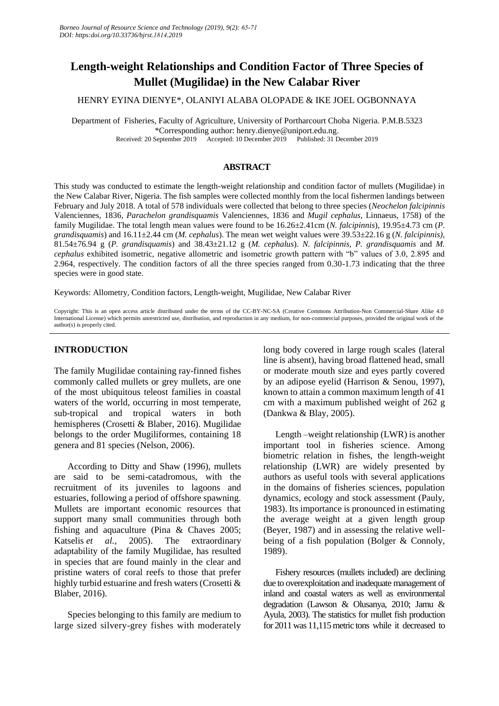# **Length-weight Relationships and Condition Factor of Three Species of Mullet (Mugilidae) in the New Calabar River**

HENRY EYINA DIENYE\*, OLANIYI ALABA OLOPADE & IKE JOEL OGBONNAYA

Department of Fisheries, Faculty of Agriculture, University of Portharcourt Choba Nigeria. P.M.B.5323 \*Corresponding author: henry.dienye@uniport.edu.ng. Received: 20 September 2019 Accepted: 10 December 2019 Published: 31 December 2019

# **ABSTRACT**

This study was conducted to estimate the length-weight relationship and condition factor of mullets (Mugilidae) in the New Calabar River, Nigeria. The fish samples were collected monthly from the local fishermen landings between February and July 2018. A total of 578 individuals were collected that belong to three species (*Neochelon falcipinnis* Valenciennes, 1836*, Parachelon grandisquamis* Valenciennes, 1836 and *Mugil cephalus,* Linnaeus, 1758) of the family Mugilidae. The total length mean values were found to be 16.26±2.41cm (*N. falcipinnis*), 19.95±4.73 cm (*P. grandisquamis*) and 16.11±2.44 cm (*M. cephalus*). The mean wet weight values were 39.53±22.16 g (*N. falcipinnis)*, 81.54±76.94 g (*P. grandisquamis*) and 38.43±21.12 g (*M. cephalus*). *N. falcipinnis, P. grandisquamis* and *M. cephalus* exhibited isometric, negative allometric and isometric growth pattern with "b" values of 3.0, 2.895 and 2.964, respectively. The condition factors of all the three species ranged from 0.30-1.73 indicating that the three species were in good state.

Keywords: Allometry, Condition factors, Length-weight, Mugilidae, New Calabar River

Copyright: This is an open access article distributed under the terms of the CC-BY-NC-SA (Creative Commons Attribution-Non Commercial-Share Alike 4.0 International License) which permits unrestricted use, distribution, and reproduction in any medium, for non-commercial purposes, provided the original work of the author(s) is properly cited.

# **INTRODUCTION**

The family Mugilidae containing ray-finned fishes commonly called mullets or grey mullets, are one of the most ubiquitous teleost families in coastal waters of the world, occurring in most temperate, sub-tropical and tropical waters in both hemispheres (Crosetti & Blaber, 2016). Mugilidae belongs to the order Mugiliformes, containing 18 genera and 81 species (Nelson, 2006).

According to Ditty and Shaw (1996), mullets are said to be semi-catadromous, with the recruitment of its juveniles to lagoons and estuaries, following a period of offshore spawning. Mullets are important economic resources that support many small communities through both fishing and aquaculture (Pina & Chaves 2005; Katselis *et al.*, 2005). The extraordinary adaptability of the family Mugilidae, has resulted in species that are found mainly in the clear and pristine waters of coral reefs to those that prefer highly turbid estuarine and fresh waters (Crosetti & Blaber, 2016).

Species belonging to this family are medium to large sized silvery-grey fishes with moderately long body covered in large rough scales (lateral line is absent), having broad flattened head, small or moderate mouth size and eyes partly covered by an adipose eyelid (Harrison & Senou, 1997), known to attain a common maximum length of 41 cm with a maximum published weight of 262 g (Dankwa & Blay, 2005).

Length –weight relationship (LWR) is another important tool in fisheries science. Among biometric relation in fishes, the length-weight relationship (LWR) are widely presented by authors as useful tools with several applications in the domains of fisheries sciences, population dynamics, ecology and stock assessment (Pauly, 1983). Its importance is pronounced in estimating the average weight at a given length group (Beyer, 1987) and in assessing the relative wellbeing of a fish population (Bolger & Connoly, 1989).

Fishery resources (mullets included) are declining due to overexploitation and inadequate management of inland and coastal waters as well as environmental degradation (Lawson & Olusanya, 2010; Jamu & Ayula, 2003). The statistics for mullet fish production for 2011 was 11,115 metric tons while it decreased to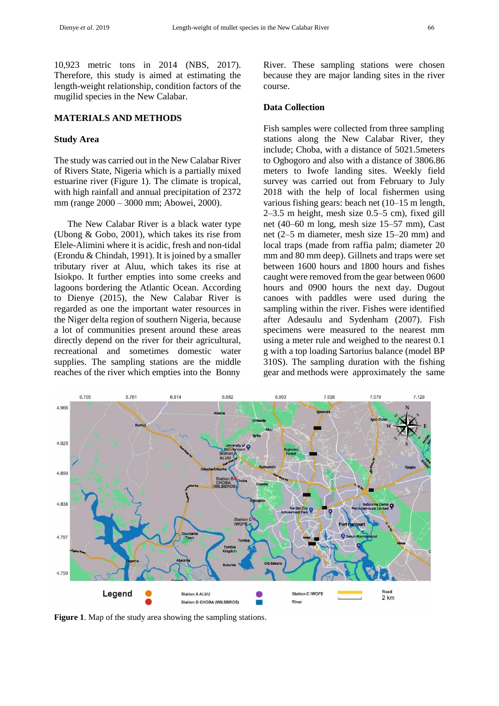10,923 metric tons in 2014 (NBS, 2017). Therefore, this study is aimed at estimating the length-weight relationship, condition factors of the mugilid species in the New Calabar.

# **MATERIALS AND METHODS**

#### **Study Area**

The study was carried out in the New Calabar River of Rivers State, Nigeria which is a partially mixed estuarine river (Figure 1). The climate is tropical, with high rainfall and annual precipitation of 2372 mm (range 2000 – 3000 mm; Abowei, 2000).

The New Calabar River is a black water type (Ubong & Gobo, 2001), which takes its rise from Elele-Alimini where it is acidic, fresh and non-tidal (Erondu & Chindah, 1991). It is joined by a smaller tributary river at Aluu, which takes its rise at Isiokpo. It further empties into some creeks and lagoons bordering the Atlantic Ocean. According to Dienye (2015), the New Calabar River is regarded as one the important water resources in the Niger delta region of southern Nigeria, because a lot of communities present around these areas directly depend on the river for their agricultural, recreational and sometimes domestic water supplies. The sampling stations are the middle reaches of the river which empties into the Bonny

River. These sampling stations were chosen because they are major landing sites in the river course.

#### **Data Collection**

Fish samples were collected from three sampling stations along the New Calabar River, they include; Choba, with a distance of 5021.5meters to Ogbogoro and also with a distance of 3806.86 meters to Iwofe landing sites. Weekly field survey was carried out from February to July 2018 with the help of local fishermen using various fishing gears: beach net (10–15 m length, 2–3.5 m height, mesh size 0.5–5 cm), fixed gill net (40–60 m long, mesh size 15–57 mm), Cast net (2–5 m diameter, mesh size 15–20 mm) and local traps (made from raffia palm; diameter 20 mm and 80 mm deep). Gillnets and traps were set between 1600 hours and 1800 hours and fishes caught were removed from the gear between 0600 hours and 0900 hours the next day. Dugout canoes with paddles were used during the sampling within the river. Fishes were identified after Adesaulu and Sydenham (2007). Fish specimens were measured to the nearest mm using a meter rule and weighed to the nearest 0.1 g with a top loading Sartorius balance (model BP 310S). The sampling duration with the fishing gear and methods were approximately the same



**Figure 1**. Map of the study area showing the sampling stations.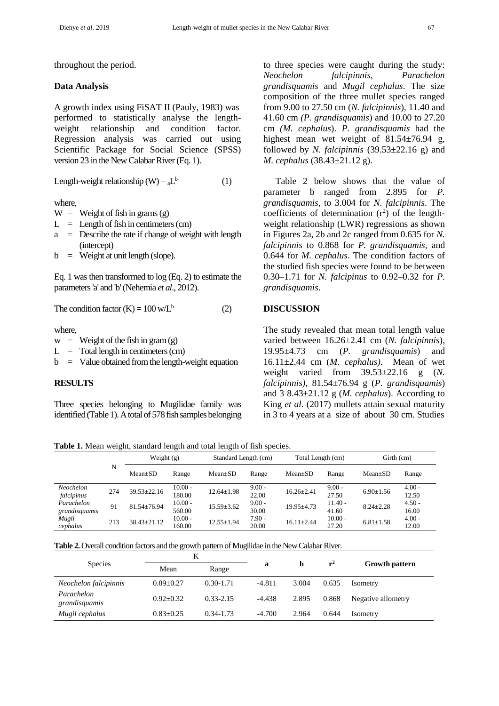throughout the period.

#### **Data Analysis**

A growth index using FiSAT II (Pauly, 1983) was performed to statistically analyse the lengthweight relationship and condition factor. Regression analysis was carried out using Scientific Package for Social Science (SPSS) version 23 in the New Calabar River (Eq. 1).

Length-weight relationship (W) =  $_{a}L^{b}$ (1)

where,

 $W = \text{Weight of fish in grams (g)}$ 

- $L =$  Length of fish in centimeters (cm)
- $a =$  Describe the rate if change of weight with length (intercept)
- $b =$  Weight at unit length (slope).

Eq. 1 was then transformed to log (Eq. 2) to estimate the parameters 'a' and 'b' (Nehemia *et al*., 2012).

The condition factor  $(K) = 100$  w/L<sup>b</sup> (2)

where,

 $w =$  Weight of the fish in gram (g)

 $L = \text{Total length in centimeters (cm)}$ 

 $b =$  Value obtained from the length-weight equation

# **RESULTS**

Three species belonging to Mugilidae family was identified (Table 1). A total of 578 fish samples belonging to three species were caught during the study: *Neochelon falcipinnis, Parachelon grandisquamis* and *Mugil cephalus*. The size composition of the three mullet species ranged from 9.00 to 27.50 cm (*N. falcipinnis*), 11.40 and 41.60 cm *(P. grandisquamis*) and 10.00 to 27.20 cm *(M. cephalus*). *P. grandisquamis* had the highest mean wet weight of 81.54±76.94 g, followed by *N. falcipinnis*  $(39.53 \pm 22.16 \text{ g})$  and *M. cephalus* (38.43±21.12 g).

Table 2 below shows that the value of parameter b ranged from 2.895 for *P. grandisquamis*, to 3.004 for *N. falcipinnis*. The coefficients of determination  $(r^2)$  of the lengthweight relationship (LWR) regressions as shown in Figures 2a, 2b and 2c ranged from 0.635 for *N. falcipinnis* to 0.868 for *P. grandisquamis*, and 0.644 for *M. cephalus*. The condition factors of the studied fish species were found to be between 0.30–1.71 for *N. falcipinus* to 0.92–0.32 for *P. grandisquamis*.

#### **DISCUSSION**

The study revealed that mean total length value varied between 16.26±2.41 cm (*N. falcipinnis*), 19.95±4.73 cm (*P. grandisquamis*) and 16.11±2.44 cm (*M. cephalus)*. Mean of wet weight varied from 39.53±22.16 g (*N. falcipinnis),* 81.54±76.94 g (*P. grandisquamis*) and 3 8.43±21.12 g (*M. cephalus*). According to King *et al*. (2017) mullets attain sexual maturity in 3 to 4 years at a size of about 30 cm. Studies

**Table 1.** Mean weight, standard length and total length of fish species.

|                             | N   | Weight $(g)$      |                     | Standard Length (cm) |                   | Total Length (cm) |                    | Girth (cm)      |                   |
|-----------------------------|-----|-------------------|---------------------|----------------------|-------------------|-------------------|--------------------|-----------------|-------------------|
|                             |     | $Mean \pm SD$     | Range               | $Mean \pm SD$        | Range             | $Mean \pm SD$     | Range              | $Mean \pm SD$   | Range             |
| Neochelon<br>falcipinus     | 274 | $39.53 \pm 22.16$ | $10.00 -$<br>180.00 | $12.64 \pm 1.98$     | $9.00 -$<br>22.00 | $16.26 \pm 2.41$  | $9.00 -$<br>27.50  | $6.90 \pm 1.56$ | $4.00 -$<br>12.50 |
| Parachelon<br>grandisquamis | 91  | $81.54 \pm 76.94$ | $10.00 -$<br>560.00 | $15.59 \pm 3.62$     | $9.00 -$<br>30.00 | $19.95 \pm 4.73$  | $11.40 -$<br>41.60 | $8.24 \pm 2.28$ | $4.50 -$<br>16.00 |
| Mugil<br>cephalus           | 213 | $38.43 \pm 21.12$ | $10.00 -$<br>160.00 | $12.55 \pm 1.94$     | $7.90 -$<br>20.00 | $16.11 \pm 2.44$  | $10.00 -$<br>27.20 | $6.81 \pm 1.58$ | $4.00 -$<br>12.00 |

**Table 2.** Overall condition factors and the growth pattern of Mugilidae in the New Calabar River.

|                             |                 | K             |          |       | $r^2$ | <b>Growth pattern</b> |  |
|-----------------------------|-----------------|---------------|----------|-------|-------|-----------------------|--|
| <b>Species</b>              | Mean            | Range         | a        |       |       |                       |  |
| Neochelon falcipinnis       | $0.89 \pm 0.27$ | $0.30 - 1.71$ | $-4.811$ | 3.004 | 0.635 | Isometry              |  |
| Parachelon<br>grandisquamis | $0.92 + 0.32$   | $0.33 - 2.15$ | $-4.438$ | 2.895 | 0.868 | Negative allometry    |  |
| Mugil cephalus              | $0.83 \pm 0.25$ | $0.34 - 1.73$ | $-4.700$ | 2.964 | 0.644 | Isometry              |  |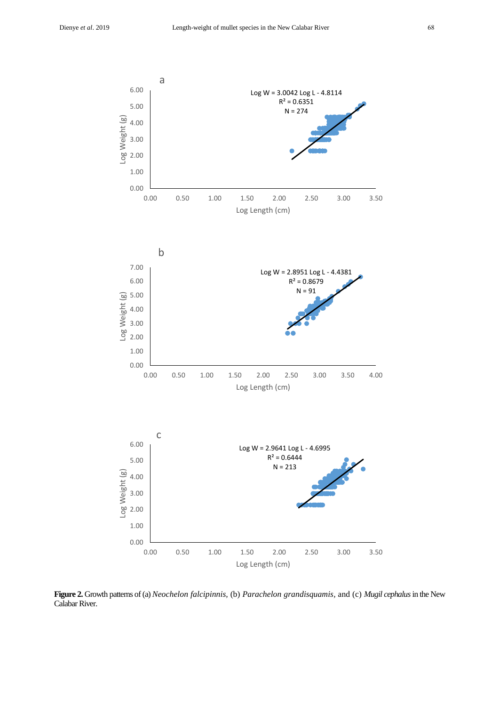

**Figure 2.** Growth patterns of (a) *Neochelon falcipinnis,* (b) *Parachelon grandisquamis,* and (c) *Mugil cephalus*in the New Calabar River.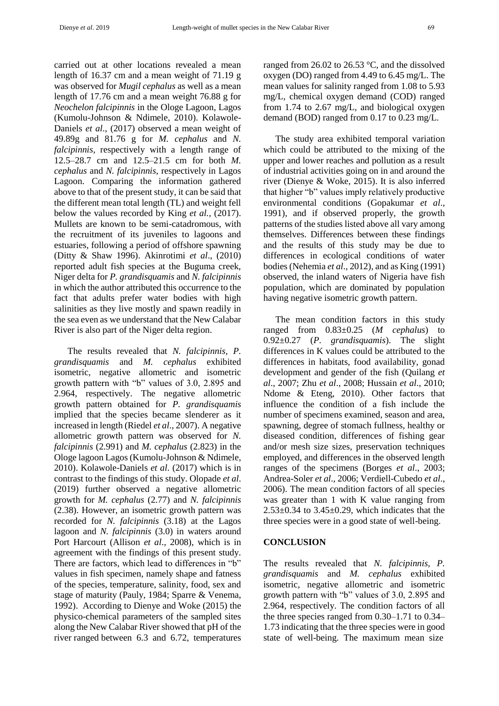carried out at other locations revealed a mean length of 16.37 cm and a mean weight of 71.19 g was observed for *Mugil cephalus* as well as a mean length of 17.76 cm and a mean weight 76.88 g for *Neochelon falcipinnis* in the Ologe Lagoon, Lagos (Kumolu-Johnson & Ndimele, 2010). Kolawole-Daniels *et al*., (2017) observed a mean weight of 49.89g and 81.76 g for *M. cephalus* and *N. falcipinnis,* respectively with a length range of 12.5–28.7 cm and 12.5–21.5 cm for both *M. cephalus* and *N. falcipinnis*, respectively in Lagos Lagoon. Comparing the information gathered above to that of the present study, it can be said that the different mean total length (TL) and weight fell below the values recorded by King *et al.,* (2017). Mullets are known to be semi-catadromous, with the recruitment of its juveniles to lagoons and estuaries, following a period of offshore spawning (Ditty & Shaw 1996). Akinrotimi *et al*., (2010) reported adult fish species at the Buguma creek, Niger delta for *P. grandisquamis* and *N. falcipinnis* in which the author attributed this occurrence to the fact that adults prefer water bodies with high salinities as they live mostly and spawn readily in the sea even as we understand that the New Calabar River is also part of the Niger delta region.

The results revealed that *N. falcipinnis, P. grandisquamis* and *M. cephalus* exhibited isometric, negative allometric and isometric growth pattern with "b" values of 3.0, 2.895 and 2.964, respectively. The negative allometric growth pattern obtained for *P. grandisquamis* implied that the species became slenderer as it increased in length (Riedel *et al*., 2007). A negative allometric growth pattern was observed for *N. falcipinnis* (2.991) and *M. cephalus* (2.823) in the Ologe lagoon Lagos (Kumolu-Johnson & Ndimele, 2010). Kolawole-Daniels *et al*. (2017) which is in contrast to the findings of this study. Olopade *et al*. (2019) further observed a negative allometric growth for *M. cephalus* (2.77) and *N. falcipinnis* (2.38). However, an isometric growth pattern was recorded for *N. falcipinnis* (3.18) at the Lagos lagoon and *N. falcipinnis* (3.0) in waters around Port Harcourt (Allison *et al*., 2008), which is in agreement with the findings of this present study. There are factors, which lead to differences in "b" values in fish specimen, namely shape and fatness of the species, temperature, salinity, food, sex and stage of maturity (Pauly, 1984; Sparre & Venema, 1992). According to Dienye and Woke (2015) the physico-chemical parameters of the sampled sites along the New Calabar River showed that pH of the river ranged between 6.3 and 6.72, temperatures ranged from 26.02 to 26.53 °C, and the dissolved oxygen (DO) ranged from 4.49 to 6.45 mg/L. The mean values for salinity ranged from 1.08 to 5.93 mg/L, chemical oxygen demand (COD) ranged from 1.74 to 2.67 mg/L, and biological oxygen demand (BOD) ranged from 0.17 to 0.23 mg/L.

The study area exhibited temporal variation which could be attributed to the mixing of the upper and lower reaches and pollution as a result of industrial activities going on in and around the river (Dienye & Woke, 2015). It is also inferred that higher "b" values imply relatively productive environmental conditions (Gopakumar *et al*., 1991), and if observed properly, the growth patterns of the studies listed above all vary among themselves. Differences between these findings and the results of this study may be due to differences in ecological conditions of water bodies (Nehemia *et al*., 2012), and as King (1991) observed, the inland waters of Nigeria have fish population, which are dominated by population having negative isometric growth pattern.

The mean condition factors in this study ranged from 0.83±0.25 (*M cephalus*) to 0.92±0.27 (*P*. *grandisquamis*). The slight differences in K values could be attributed to the differences in habitats, food availability, gonad development and gender of the fish (Quilang *et al*., 2007; Zhu *et al*., 2008; Hussain *et al*., 2010; Ndome & Eteng, 2010). Other factors that influence the condition of a fish include the number of specimens examined, season and area, spawning, degree of stomach fullness, healthy or diseased condition, differences of fishing gear and/or mesh size sizes, preservation techniques employed, and differences in the observed length ranges of the specimens (Borges *et al*., 2003; Andrea-Soler *et al*., 2006; Verdiell-Cubedo *et al*., 2006). The mean condition factors of all species was greater than 1 with K value ranging from  $2.53\pm0.34$  to  $3.45\pm0.29$ , which indicates that the three species were in a good state of well-being.

# **CONCLUSION**

The results revealed that *N. falcipinnis, P. grandisquamis* and *M. cephalus* exhibited isometric, negative allometric and isometric growth pattern with "b" values of 3.0, 2.895 and 2.964, respectively. The condition factors of all the three species ranged from 0.30–1.71 to 0.34– 1.73 indicating that the three species were in good state of well-being. The maximum mean size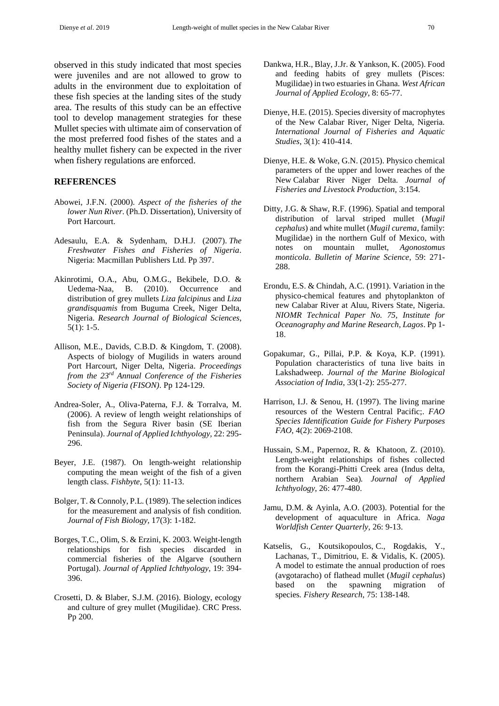observed in this study indicated that most species were juveniles and are not allowed to grow to adults in the environment due to exploitation of these fish species at the landing sites of the study area. The results of this study can be an effective tool to develop management strategies for these Mullet species with ultimate aim of conservation of the most preferred food fishes of the states and a healthy mullet fishery can be expected in the river when fishery regulations are enforced.

## **REFERENCES**

- Abowei, J.F.N. (2000). *Aspect of the fisheries of the lower Nun River*. (Ph.D. Dissertation), University of Port Harcourt.
- Adesaulu, E.A. & Sydenham, D.H.J. (2007). *The Freshwater Fishes and Fisheries of Nigeria*. Nigeria: Macmillan Publishers Ltd. Pp 397.
- Akinrotimi, O.A., Abu, O.M.G., Bekibele, D.O. & Uedema-Naa, B. (2010). Occurrence and distribution of grey mullets *Liza falcipinus* and *Liza grandisquamis* from Buguma Creek, Niger Delta, Nigeria. *Research Journal of Biological Sciences*, 5(1): 1-5.
- Allison, M.E., Davids, C.B.D. & Kingdom, T. (2008). Aspects of biology of Mugilids in waters around Port Harcourt, Niger Delta, Nigeria. *Proceedings from the 23rd Annual Conference of the Fisheries Society of Nigeria (FISON)*. Pp 124-129.
- Andrea-Soler, A., Oliva-Paterna, F.J. & Torralva, M. (2006). A review of length weight relationships of fish from the Segura River basin (SE Iberian Peninsula). *Journal of Applied Ichthyology*, 22: 295- 296.
- Beyer, J.E. (1987). On length-weight relationship computing the mean weight of the fish of a given length class. *Fishbyte*, 5(1): 11-13.
- Bolger, T. & Connoly, P.L. (1989). The selection indices for the measurement and analysis of fish condition. *Journal of Fish Biology*, 17(3): 1-182.
- Borges, T.C., Olim, S. & Erzini, K. 2003. Weight-length relationships for fish species discarded in commercial fisheries of the Algarve (southern Portugal). *Journal of Applied Ichthyology*, 19: 394- 396.
- Crosetti, D. & Blaber, S.J.M. (2016). Biology, ecology and culture of grey mullet (Mugilidae). CRC Press. Pp 200.
- Dankwa, H.R., Blay, J.Jr. & Yankson, K. (2005). Food and feeding habits of grey mullets (Pisces: Mugilidae) in two estuaries in Ghana. *West African Journal of Applied Ecology*, 8: 65-77.
- Dienye, H.E. (2015). Species diversity of macrophytes of the New Calabar River, Niger Delta, Nigeria. *International Journal of Fisheries and Aquatic Studies*, 3(1): 410-414.
- Dienye, H.E. & Woke, G.N. (2015). Physico chemical parameters of the upper and lower reaches of the New Calabar River Niger Delta*. Journal of Fisheries and Livestock Production,* 3:154.
- Ditty, J.G. & Shaw, R.F. (1996). Spatial and temporal distribution of larval striped mullet (*Mugil cephalus*) and white mullet (*Mugil curema*, family: Mugilidae) in the northern Gulf of Mexico, with notes on mountain mullet, *Agonostomus monticola*. *Bulletin of Marine Science,* 59: 271- 288.
- Erondu, E.S. & Chindah, A.C. (1991). Variation in the physico-chemical features and phytoplankton of new Calabar River at Aluu, Rivers State, Nigeria. *NIOMR Technical Paper No. 75, Institute for Oceanography and Marine Research, Lagos*. Pp 1- 18.
- Gopakumar, G., Pillai, P.P. & Koya, K.P. (1991). Population characteristics of tuna live baits in Lakshadweep. *Journal of the Marine Biological Association of India*, 33(1-2): 255-277.
- Harrison, I.J. & Senou, H. (1997). The living marine resources of the Western Central Pacific;. *FAO Species Identification Guide for Fishery Purposes FAO*, 4(2): 2069-2108.
- Hussain, S.M., Papernoz, R. & Khatoon, Z. (2010). Length-weight relationships of fishes collected from the Korangi-Phitti Creek area (Indus delta, northern Arabian Sea)*. Journal of Applied Ichthyology*, 26: 477-480.
- Jamu, D.M. & Ayinla, A.O. (2003). Potential for the development of aquaculture in Africa. *Naga Worldfish Center Quarterly,* 26: 9-13.
- Katselis, G., Koutsikopoulos, C., Rogdakis, Y., Lachanas, T., Dimitriou, E. & Vidalis, K. (2005). A model to estimate the annual production of roes (avgotaracho) of flathead mullet (*Mugil cephalus*) based on the spawning migration of species*. Fishery Research*, 75: 138-148.